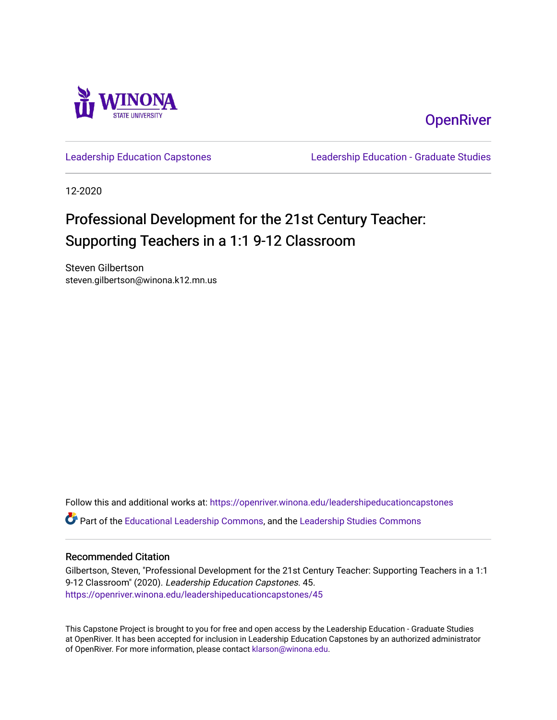

## **OpenRiver**

[Leadership Education Capstones](https://openriver.winona.edu/leadershipeducationcapstones) [Leadership Education - Graduate Studies](https://openriver.winona.edu/leadershipeducation) 

12-2020

# Professional Development for the 21st Century Teacher: Supporting Teachers in a 1:1 9-12 Classroom

Steven Gilbertson steven.gilbertson@winona.k12.mn.us

Follow this and additional works at: [https://openriver.winona.edu/leadershipeducationcapstones](https://openriver.winona.edu/leadershipeducationcapstones?utm_source=openriver.winona.edu%2Fleadershipeducationcapstones%2F45&utm_medium=PDF&utm_campaign=PDFCoverPages) 

Part of the [Educational Leadership Commons,](http://network.bepress.com/hgg/discipline/1230?utm_source=openriver.winona.edu%2Fleadershipeducationcapstones%2F45&utm_medium=PDF&utm_campaign=PDFCoverPages) and the [Leadership Studies Commons](http://network.bepress.com/hgg/discipline/1250?utm_source=openriver.winona.edu%2Fleadershipeducationcapstones%2F45&utm_medium=PDF&utm_campaign=PDFCoverPages)

#### Recommended Citation

Gilbertson, Steven, "Professional Development for the 21st Century Teacher: Supporting Teachers in a 1:1 9-12 Classroom" (2020). Leadership Education Capstones. 45. [https://openriver.winona.edu/leadershipeducationcapstones/45](https://openriver.winona.edu/leadershipeducationcapstones/45?utm_source=openriver.winona.edu%2Fleadershipeducationcapstones%2F45&utm_medium=PDF&utm_campaign=PDFCoverPages) 

This Capstone Project is brought to you for free and open access by the Leadership Education - Graduate Studies at OpenRiver. It has been accepted for inclusion in Leadership Education Capstones by an authorized administrator of OpenRiver. For more information, please contact [klarson@winona.edu.](mailto:klarson@winona.edu)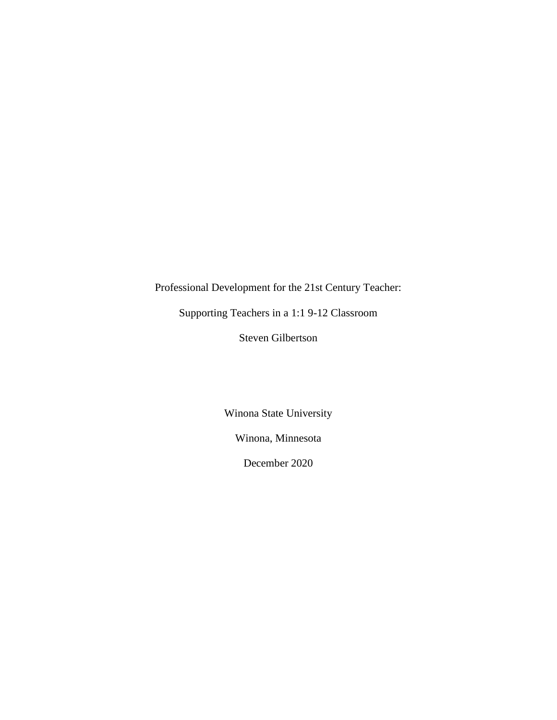Professional Development for the 21st Century Teacher:

Supporting Teachers in a 1:1 9-12 Classroom

Steven Gilbertson

Winona State University

Winona, Minnesota

December 2020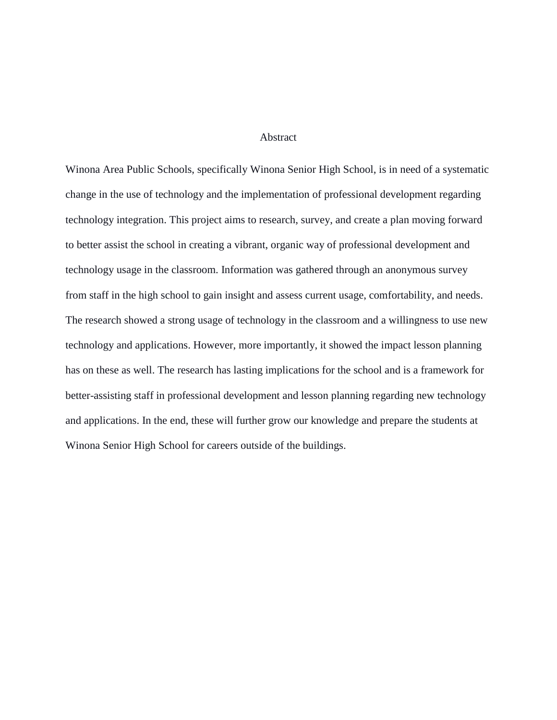#### Abstract

Winona Area Public Schools, specifically Winona Senior High School, is in need of a systematic change in the use of technology and the implementation of professional development regarding technology integration. This project aims to research, survey, and create a plan moving forward to better assist the school in creating a vibrant, organic way of professional development and technology usage in the classroom. Information was gathered through an anonymous survey from staff in the high school to gain insight and assess current usage, comfortability, and needs. The research showed a strong usage of technology in the classroom and a willingness to use new technology and applications. However, more importantly, it showed the impact lesson planning has on these as well. The research has lasting implications for the school and is a framework for better-assisting staff in professional development and lesson planning regarding new technology and applications. In the end, these will further grow our knowledge and prepare the students at Winona Senior High School for careers outside of the buildings.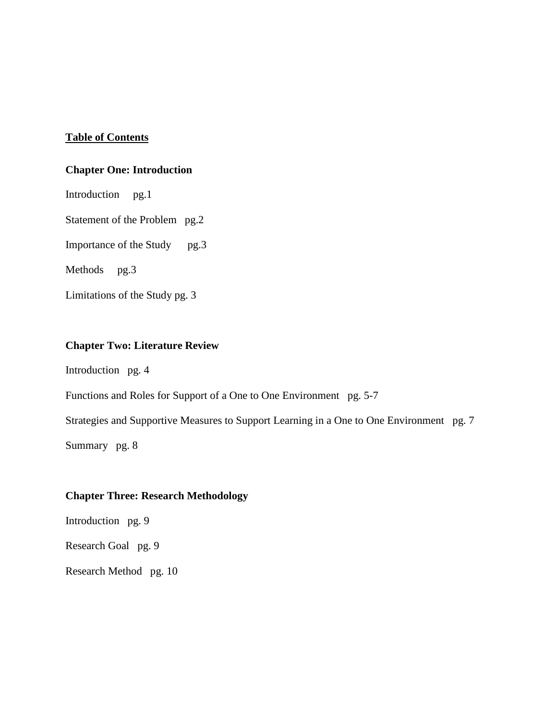## **Table of Contents**

## **Chapter One: Introduction**

Introduction pg.1 Statement of the Problem pg.2 Importance of the Study pg.3 Methods pg.3 Limitations of the Study pg. 3

### **Chapter Two: Literature Review**

Introduction pg. 4

Functions and Roles for Support of a One to One Environment pg. 5-7

Strategies and Supportive Measures to Support Learning in a One to One Environment pg. 7

Summary pg. 8

## **Chapter Three: Research Methodology**

Introduction pg. 9

Research Goal pg. 9

Research Method pg. 10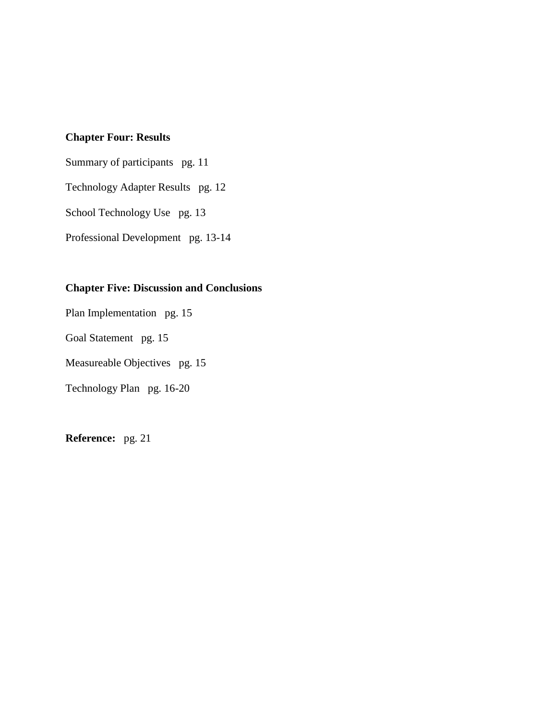## **Chapter Four: Results**

Summary of participants pg. 11 Technology Adapter Results pg. 12 School Technology Use pg. 13 Professional Development pg. 13-14

## **Chapter Five: Discussion and Conclusions**

Plan Implementation pg. 15

Goal Statement pg. 15

Measureable Objectives pg. 15

Technology Plan pg. 16-20

**Reference:** pg. 21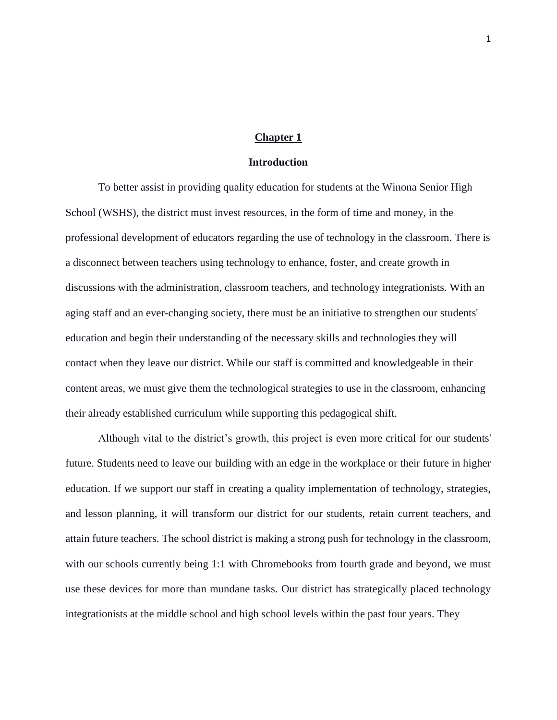#### **Chapter 1**

#### **Introduction**

To better assist in providing quality education for students at the Winona Senior High School (WSHS), the district must invest resources, in the form of time and money, in the professional development of educators regarding the use of technology in the classroom. There is a disconnect between teachers using technology to enhance, foster, and create growth in discussions with the administration, classroom teachers, and technology integrationists. With an aging staff and an ever-changing society, there must be an initiative to strengthen our students' education and begin their understanding of the necessary skills and technologies they will contact when they leave our district. While our staff is committed and knowledgeable in their content areas, we must give them the technological strategies to use in the classroom, enhancing their already established curriculum while supporting this pedagogical shift.

Although vital to the district's growth, this project is even more critical for our students' future. Students need to leave our building with an edge in the workplace or their future in higher education. If we support our staff in creating a quality implementation of technology, strategies, and lesson planning, it will transform our district for our students, retain current teachers, and attain future teachers. The school district is making a strong push for technology in the classroom, with our schools currently being 1:1 with Chromebooks from fourth grade and beyond, we must use these devices for more than mundane tasks. Our district has strategically placed technology integrationists at the middle school and high school levels within the past four years. They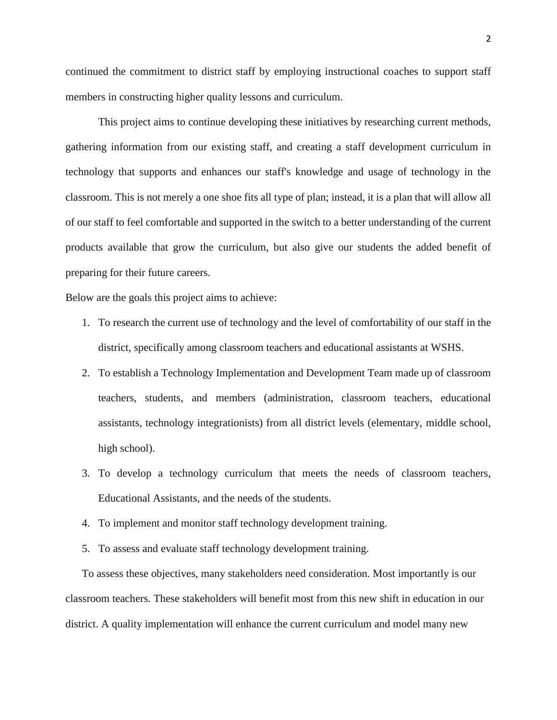continued the commitment to district staff by employing instructional coaches to support staff members in constructing higher quality lessons and curriculum.

This project aims to continue developing these initiatives by researching current methods, gathering information from our existing staff, and creating a staff development curriculum in technology that supports and enhances our staff's knowledge and usage of technology in the classroom. This is not merely a one shoe fits all type of plan; instead, it is a plan that will allow all of our staff to feel comfortable and supported in the switch to a better understanding of the current products available that grow the curriculum, but also give our students the added benefit of preparing for their future careers.

Below are the goals this project aims to achieve:

- 1. To research the current use of technology and the level of comfortability of our staff in the district, specifically among classroom teachers and educational assistants at WSHS.
- 2. To establish a Technology Implementation and Development Team made up of classroom teachers, students, and members (administration, classroom teachers, educational assistants, technology integrationists) from all district levels (elementary, middle school, high school).
- 3. To develop a technology curriculum that meets the needs of classroom teachers, Educational Assistants, and the needs of the students.
- 4. To implement and monitor staff technology development training.
- 5. To assess and evaluate staff technology development training.

To assess these objectives, many stakeholders need consideration. Most importantly is our classroom teachers. These stakeholders will benefit most from this new shift in education in our district. A quality implementation will enhance the current curriculum and model many new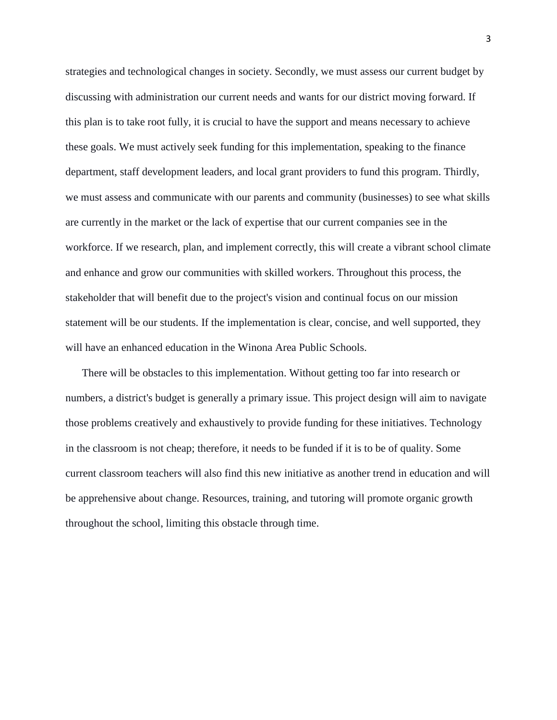strategies and technological changes in society. Secondly, we must assess our current budget by discussing with administration our current needs and wants for our district moving forward. If this plan is to take root fully, it is crucial to have the support and means necessary to achieve these goals. We must actively seek funding for this implementation, speaking to the finance department, staff development leaders, and local grant providers to fund this program. Thirdly, we must assess and communicate with our parents and community (businesses) to see what skills are currently in the market or the lack of expertise that our current companies see in the workforce. If we research, plan, and implement correctly, this will create a vibrant school climate and enhance and grow our communities with skilled workers. Throughout this process, the stakeholder that will benefit due to the project's vision and continual focus on our mission statement will be our students. If the implementation is clear, concise, and well supported, they will have an enhanced education in the Winona Area Public Schools.

There will be obstacles to this implementation. Without getting too far into research or numbers, a district's budget is generally a primary issue. This project design will aim to navigate those problems creatively and exhaustively to provide funding for these initiatives. Technology in the classroom is not cheap; therefore, it needs to be funded if it is to be of quality. Some current classroom teachers will also find this new initiative as another trend in education and will be apprehensive about change. Resources, training, and tutoring will promote organic growth throughout the school, limiting this obstacle through time.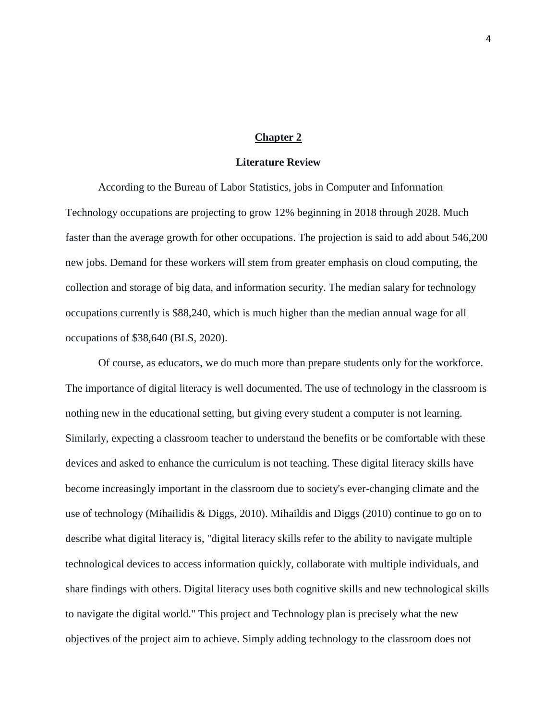#### **Chapter 2**

#### **Literature Review**

According to the Bureau of Labor Statistics, jobs in Computer and Information Technology occupations are projecting to grow 12% beginning in 2018 through 2028. Much faster than the average growth for other occupations. The projection is said to add about 546,200 new jobs. Demand for these workers will stem from greater emphasis on cloud computing, the collection and storage of big data, and information security. The median salary for technology occupations currently is \$88,240, which is much higher than the median annual wage for all occupations of \$38,640 (BLS, 2020).

Of course, as educators, we do much more than prepare students only for the workforce. The importance of digital literacy is well documented. The use of technology in the classroom is nothing new in the educational setting, but giving every student a computer is not learning. Similarly, expecting a classroom teacher to understand the benefits or be comfortable with these devices and asked to enhance the curriculum is not teaching. These digital literacy skills have become increasingly important in the classroom due to society's ever-changing climate and the use of technology (Mihailidis & Diggs, 2010). Mihaildis and Diggs (2010) continue to go on to describe what digital literacy is, "digital literacy skills refer to the ability to navigate multiple technological devices to access information quickly, collaborate with multiple individuals, and share findings with others. Digital literacy uses both cognitive skills and new technological skills to navigate the digital world." This project and Technology plan is precisely what the new objectives of the project aim to achieve. Simply adding technology to the classroom does not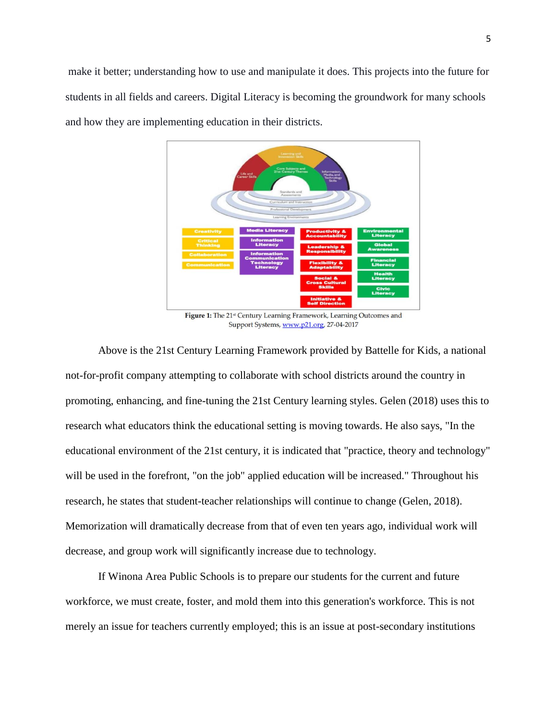make it better; understanding how to use and manipulate it does. This projects into the future for students in all fields and careers. Digital Literacy is becoming the groundwork for many schools and how they are implementing education in their districts.



Figure 1: The 21st Century Learning Framework, Learning Outcomes and Support Systems, www.p21.org, 27-04-2017

Above is the 21st Century Learning Framework provided by Battelle for Kids, a national not-for-profit company attempting to collaborate with school districts around the country in promoting, enhancing, and fine-tuning the 21st Century learning styles. Gelen (2018) uses this to research what educators think the educational setting is moving towards. He also says, "In the educational environment of the 21st century, it is indicated that "practice, theory and technology" will be used in the forefront, "on the job" applied education will be increased." Throughout his research, he states that student-teacher relationships will continue to change (Gelen, 2018). Memorization will dramatically decrease from that of even ten years ago, individual work will decrease, and group work will significantly increase due to technology.

If Winona Area Public Schools is to prepare our students for the current and future workforce, we must create, foster, and mold them into this generation's workforce. This is not merely an issue for teachers currently employed; this is an issue at post-secondary institutions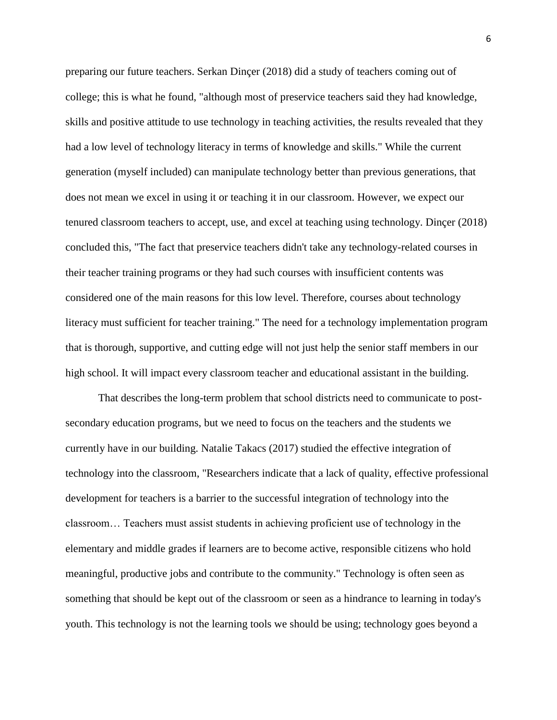preparing our future teachers. Serkan Dinçer (2018) did a study of teachers coming out of college; this is what he found, "although most of preservice teachers said they had knowledge, skills and positive attitude to use technology in teaching activities, the results revealed that they had a low level of technology literacy in terms of knowledge and skills." While the current generation (myself included) can manipulate technology better than previous generations, that does not mean we excel in using it or teaching it in our classroom. However, we expect our tenured classroom teachers to accept, use, and excel at teaching using technology. Dinçer (2018) concluded this, "The fact that preservice teachers didn't take any technology-related courses in their teacher training programs or they had such courses with insufficient contents was considered one of the main reasons for this low level. Therefore, courses about technology literacy must sufficient for teacher training." The need for a technology implementation program that is thorough, supportive, and cutting edge will not just help the senior staff members in our high school. It will impact every classroom teacher and educational assistant in the building.

That describes the long-term problem that school districts need to communicate to postsecondary education programs, but we need to focus on the teachers and the students we currently have in our building. Natalie Takacs (2017) studied the effective integration of technology into the classroom, "Researchers indicate that a lack of quality, effective professional development for teachers is a barrier to the successful integration of technology into the classroom… Teachers must assist students in achieving proficient use of technology in the elementary and middle grades if learners are to become active, responsible citizens who hold meaningful, productive jobs and contribute to the community." Technology is often seen as something that should be kept out of the classroom or seen as a hindrance to learning in today's youth. This technology is not the learning tools we should be using; technology goes beyond a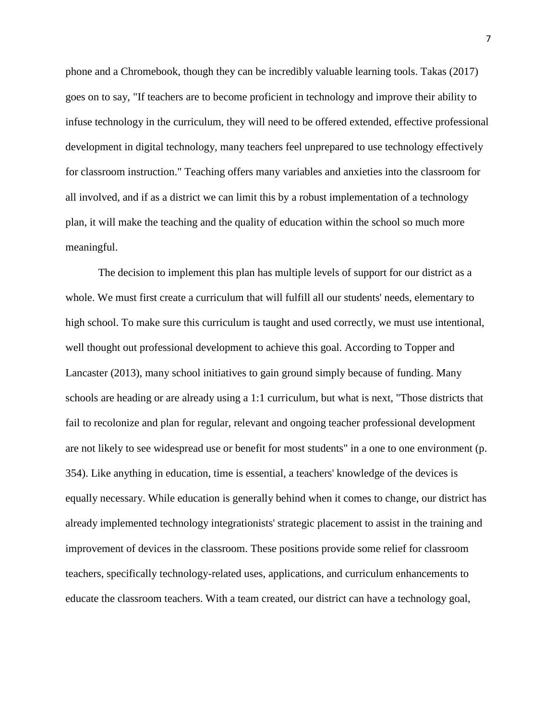phone and a Chromebook, though they can be incredibly valuable learning tools. Takas (2017) goes on to say, "If teachers are to become proficient in technology and improve their ability to infuse technology in the curriculum, they will need to be offered extended, effective professional development in digital technology, many teachers feel unprepared to use technology effectively for classroom instruction." Teaching offers many variables and anxieties into the classroom for all involved, and if as a district we can limit this by a robust implementation of a technology plan, it will make the teaching and the quality of education within the school so much more meaningful.

The decision to implement this plan has multiple levels of support for our district as a whole. We must first create a curriculum that will fulfill all our students' needs, elementary to high school. To make sure this curriculum is taught and used correctly, we must use intentional, well thought out professional development to achieve this goal. According to Topper and Lancaster (2013), many school initiatives to gain ground simply because of funding. Many schools are heading or are already using a 1:1 curriculum, but what is next, "Those districts that fail to recolonize and plan for regular, relevant and ongoing teacher professional development are not likely to see widespread use or benefit for most students" in a one to one environment (p. 354). Like anything in education, time is essential, a teachers' knowledge of the devices is equally necessary. While education is generally behind when it comes to change, our district has already implemented technology integrationists' strategic placement to assist in the training and improvement of devices in the classroom. These positions provide some relief for classroom teachers, specifically technology-related uses, applications, and curriculum enhancements to educate the classroom teachers. With a team created, our district can have a technology goal,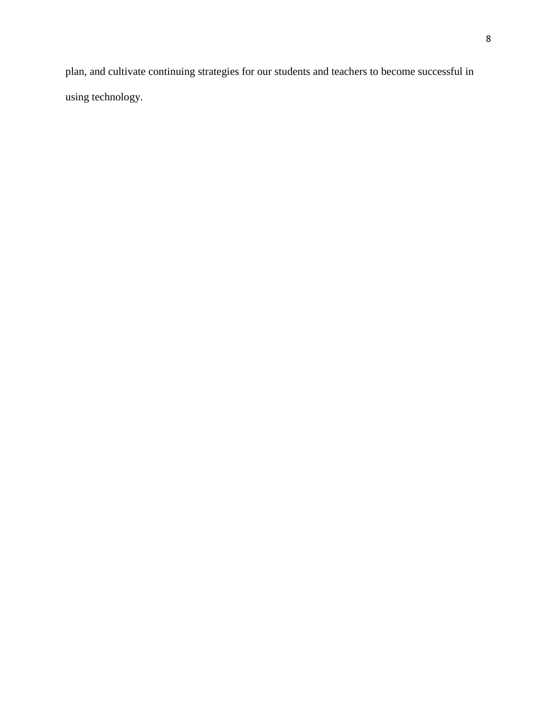plan, and cultivate continuing strategies for our students and teachers to become successful in using technology.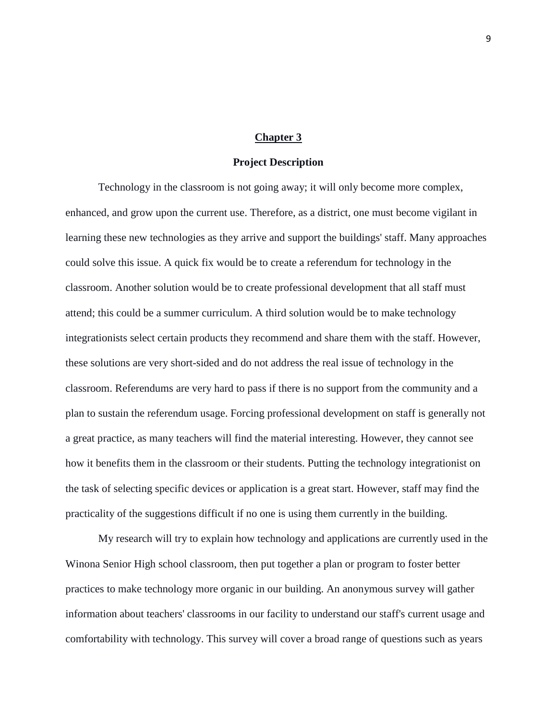#### **Chapter 3**

#### **Project Description**

Technology in the classroom is not going away; it will only become more complex, enhanced, and grow upon the current use. Therefore, as a district, one must become vigilant in learning these new technologies as they arrive and support the buildings' staff. Many approaches could solve this issue. A quick fix would be to create a referendum for technology in the classroom. Another solution would be to create professional development that all staff must attend; this could be a summer curriculum. A third solution would be to make technology integrationists select certain products they recommend and share them with the staff. However, these solutions are very short-sided and do not address the real issue of technology in the classroom. Referendums are very hard to pass if there is no support from the community and a plan to sustain the referendum usage. Forcing professional development on staff is generally not a great practice, as many teachers will find the material interesting. However, they cannot see how it benefits them in the classroom or their students. Putting the technology integrationist on the task of selecting specific devices or application is a great start. However, staff may find the practicality of the suggestions difficult if no one is using them currently in the building.

My research will try to explain how technology and applications are currently used in the Winona Senior High school classroom, then put together a plan or program to foster better practices to make technology more organic in our building. An anonymous survey will gather information about teachers' classrooms in our facility to understand our staff's current usage and comfortability with technology. This survey will cover a broad range of questions such as years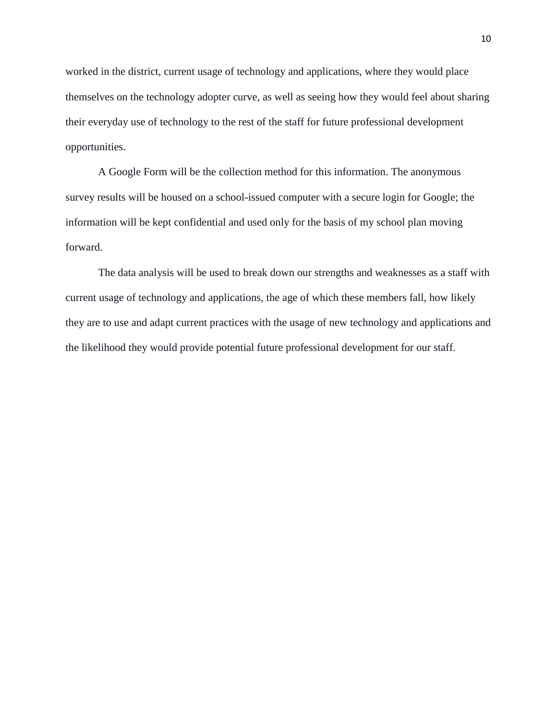worked in the district, current usage of technology and applications, where they would place themselves on the technology adopter curve, as well as seeing how they would feel about sharing their everyday use of technology to the rest of the staff for future professional development opportunities.

A Google Form will be the collection method for this information. The anonymous survey results will be housed on a school-issued computer with a secure login for Google; the information will be kept confidential and used only for the basis of my school plan moving forward.

The data analysis will be used to break down our strengths and weaknesses as a staff with current usage of technology and applications, the age of which these members fall, how likely they are to use and adapt current practices with the usage of new technology and applications and the likelihood they would provide potential future professional development for our staff.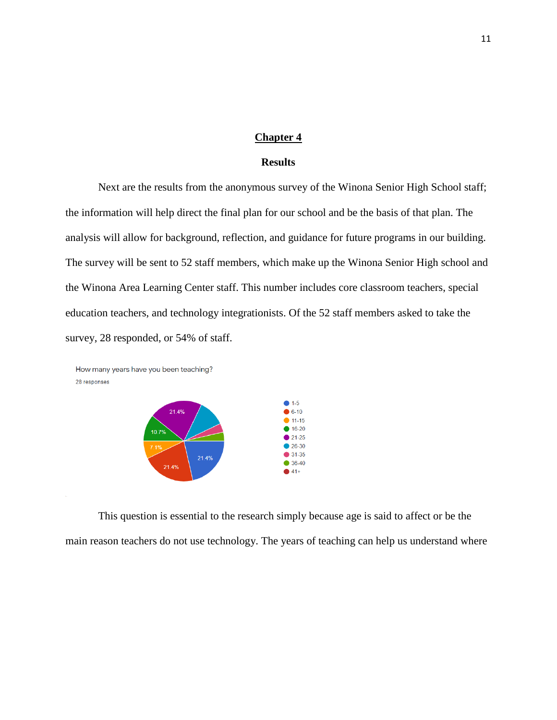#### **Chapter 4**

#### **Results**

Next are the results from the anonymous survey of the Winona Senior High School staff; the information will help direct the final plan for our school and be the basis of that plan. The analysis will allow for background, reflection, and guidance for future programs in our building. The survey will be sent to 52 staff members, which make up the Winona Senior High school and the Winona Area Learning Center staff. This number includes core classroom teachers, special education teachers, and technology integrationists. Of the 52 staff members asked to take the survey, 28 responded, or 54% of staff.



This question is essential to the research simply because age is said to affect or be the main reason teachers do not use technology. The years of teaching can help us understand where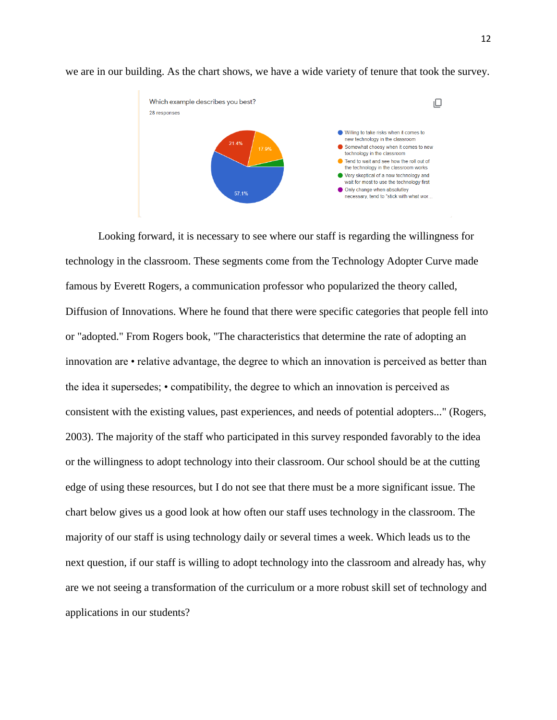

we are in our building. As the chart shows, we have a wide variety of tenure that took the survey.

Looking forward, it is necessary to see where our staff is regarding the willingness for technology in the classroom. These segments come from the Technology Adopter Curve made famous by Everett Rogers, a communication professor who popularized the theory called, Diffusion of Innovations. Where he found that there were specific categories that people fell into or "adopted." From Rogers book, "The characteristics that determine the rate of adopting an innovation are • relative advantage, the degree to which an innovation is perceived as better than the idea it supersedes; • compatibility, the degree to which an innovation is perceived as consistent with the existing values, past experiences, and needs of potential adopters..." (Rogers, 2003). The majority of the staff who participated in this survey responded favorably to the idea or the willingness to adopt technology into their classroom. Our school should be at the cutting edge of using these resources, but I do not see that there must be a more significant issue. The chart below gives us a good look at how often our staff uses technology in the classroom. The majority of our staff is using technology daily or several times a week. Which leads us to the next question, if our staff is willing to adopt technology into the classroom and already has, why are we not seeing a transformation of the curriculum or a more robust skill set of technology and applications in our students?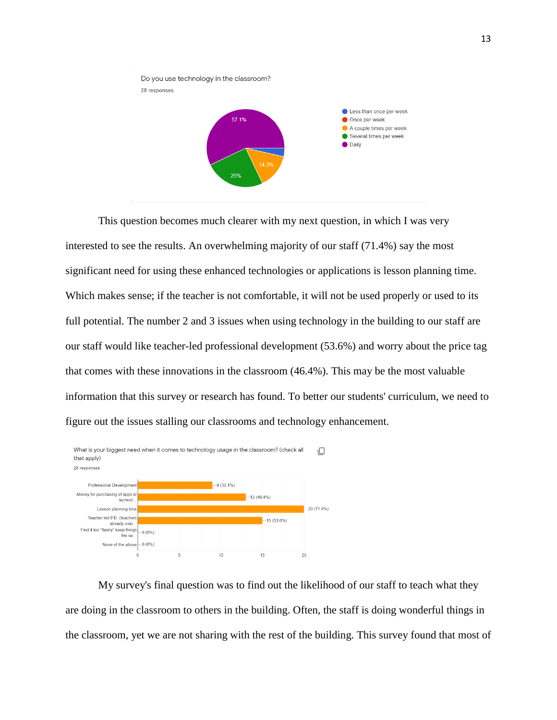

This question becomes much clearer with my next question, in which I was very interested to see the results. An overwhelming majority of our staff (71.4%) say the most significant need for using these enhanced technologies or applications is lesson planning time. Which makes sense; if the teacher is not comfortable, it will not be used properly or used to its full potential. The number 2 and 3 issues when using technology in the building to our staff are our staff would like teacher-led professional development (53.6%) and worry about the price tag that comes with these innovations in the classroom (46.4%). This may be the most valuable information that this survey or research has found. To better our students' curriculum, we need to figure out the issues stalling our classrooms and technology enhancement.



My survey's final question was to find out the likelihood of our staff to teach what they are doing in the classroom to others in the building. Often, the staff is doing wonderful things in the classroom, yet we are not sharing with the rest of the building. This survey found that most of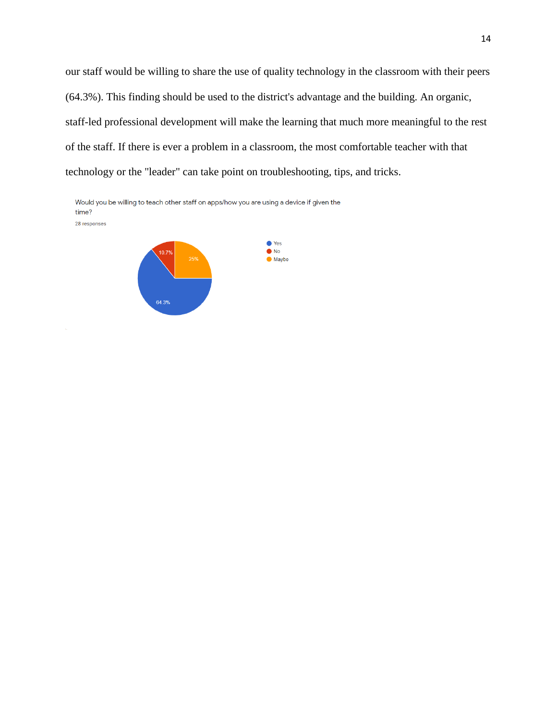our staff would be willing to share the use of quality technology in the classroom with their peers (64.3%). This finding should be used to the district's advantage and the building. An organic, staff-led professional development will make the learning that much more meaningful to the rest of the staff. If there is ever a problem in a classroom, the most comfortable teacher with that technology or the "leader" can take point on troubleshooting, tips, and tricks.

Would you be willing to teach other staff on apps/how you are using a device if given the time? 28 responses

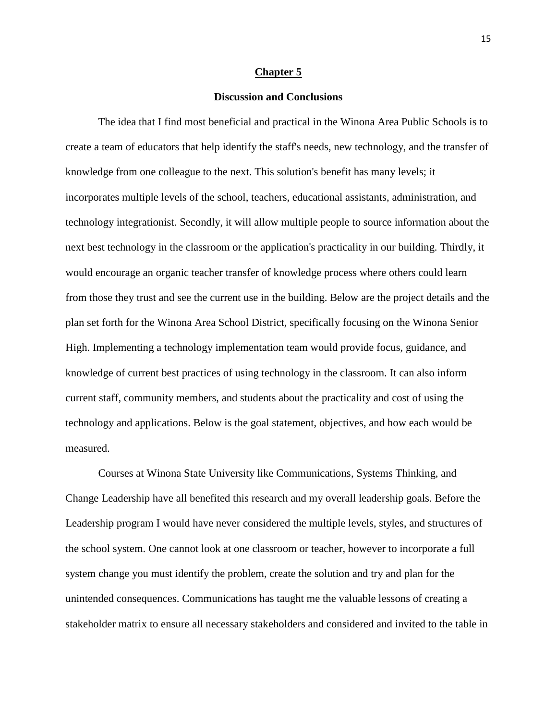#### **Chapter 5**

#### **Discussion and Conclusions**

The idea that I find most beneficial and practical in the Winona Area Public Schools is to create a team of educators that help identify the staff's needs, new technology, and the transfer of knowledge from one colleague to the next. This solution's benefit has many levels; it incorporates multiple levels of the school, teachers, educational assistants, administration, and technology integrationist. Secondly, it will allow multiple people to source information about the next best technology in the classroom or the application's practicality in our building. Thirdly, it would encourage an organic teacher transfer of knowledge process where others could learn from those they trust and see the current use in the building. Below are the project details and the plan set forth for the Winona Area School District, specifically focusing on the Winona Senior High. Implementing a technology implementation team would provide focus, guidance, and knowledge of current best practices of using technology in the classroom. It can also inform current staff, community members, and students about the practicality and cost of using the technology and applications. Below is the goal statement, objectives, and how each would be measured.

Courses at Winona State University like Communications, Systems Thinking, and Change Leadership have all benefited this research and my overall leadership goals. Before the Leadership program I would have never considered the multiple levels, styles, and structures of the school system. One cannot look at one classroom or teacher, however to incorporate a full system change you must identify the problem, create the solution and try and plan for the unintended consequences. Communications has taught me the valuable lessons of creating a stakeholder matrix to ensure all necessary stakeholders and considered and invited to the table in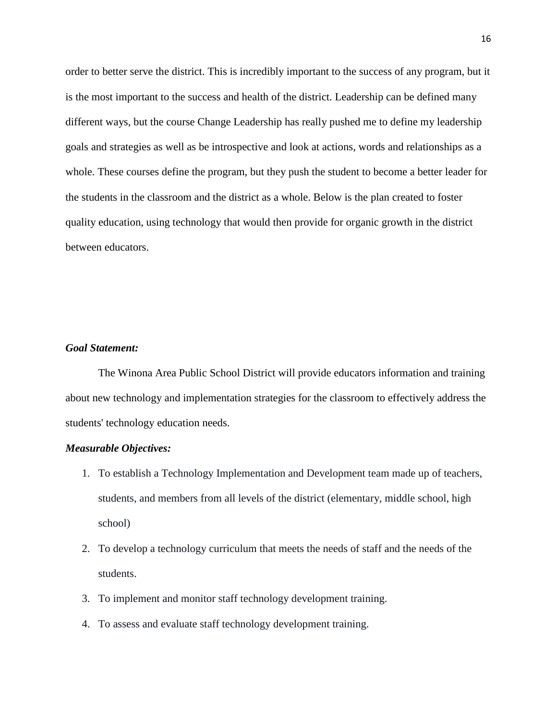order to better serve the district. This is incredibly important to the success of any program, but it is the most important to the success and health of the district. Leadership can be defined many different ways, but the course Change Leadership has really pushed me to define my leadership goals and strategies as well as be introspective and look at actions, words and relationships as a whole. These courses define the program, but they push the student to become a better leader for the students in the classroom and the district as a whole. Below is the plan created to foster quality education, using technology that would then provide for organic growth in the district between educators.

#### *Goal Statement:*

The Winona Area Public School District will provide educators information and training about new technology and implementation strategies for the classroom to effectively address the students' technology education needs.

#### *Measurable Objectives:*

- 1. To establish a Technology Implementation and Development team made up of teachers, students, and members from all levels of the district (elementary, middle school, high school)
- 2. To develop a technology curriculum that meets the needs of staff and the needs of the students.
- 3. To implement and monitor staff technology development training.
- 4. To assess and evaluate staff technology development training.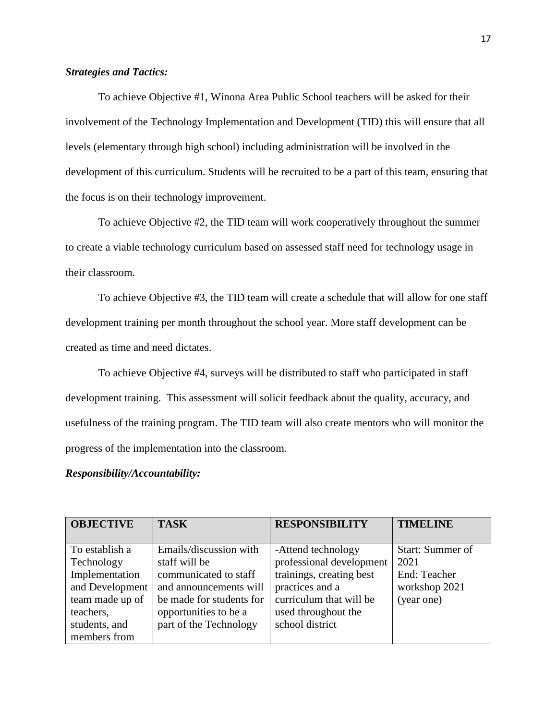#### *Strategies and Tactics:*

To achieve Objective #1, Winona Area Public School teachers will be asked for their involvement of the Technology Implementation and Development (TID) this will ensure that all levels (elementary through high school) including administration will be involved in the development of this curriculum. Students will be recruited to be a part of this team, ensuring that the focus is on their technology improvement.

To achieve Objective #2, the TID team will work cooperatively throughout the summer to create a viable technology curriculum based on assessed staff need for technology usage in their classroom.

To achieve Objective #3, the TID team will create a schedule that will allow for one staff development training per month throughout the school year. More staff development can be created as time and need dictates.

To achieve Objective #4, surveys will be distributed to staff who participated in staff development training. This assessment will solicit feedback about the quality, accuracy, and usefulness of the training program. The TID team will also create mentors who will monitor the progress of the implementation into the classroom.

#### *Responsibility/Accountability:*

| <b>OBJECTIVE</b> | <b>TASK</b>              | <b>RESPONSIBILITY</b>    | <b>TIMELINE</b>  |
|------------------|--------------------------|--------------------------|------------------|
|                  |                          |                          |                  |
| To establish a   | Emails/discussion with   | -Attend technology       | Start: Summer of |
| Technology       | staff will be            | professional development | 2021             |
| Implementation   | communicated to staff    | trainings, creating best | End: Teacher     |
| and Development  | and announcements will   | practices and a          | workshop 2021    |
| team made up of  | be made for students for | curriculum that will be  | (year one)       |
| teachers,        | opportunities to be a    | used throughout the      |                  |
| students, and    | part of the Technology   | school district          |                  |
| members from     |                          |                          |                  |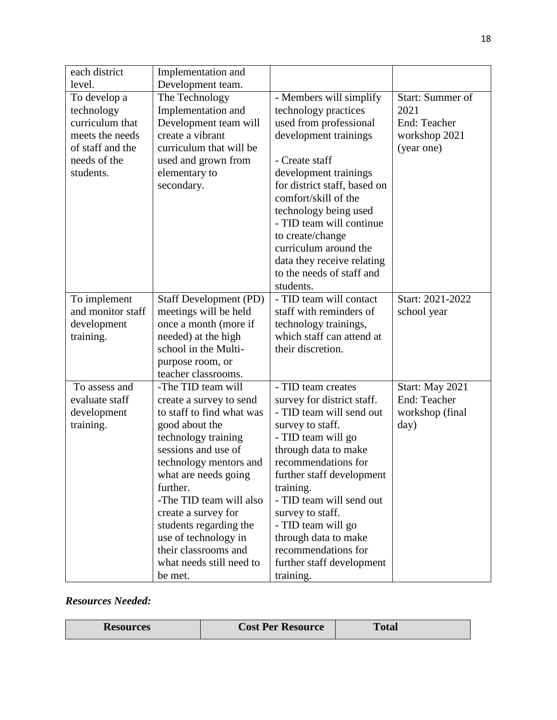| each district                                                                                                     | Implementation and                                                                                                                                                 |                                                                                                                                                                                                                                                                                                                                                                                 |                                                                         |
|-------------------------------------------------------------------------------------------------------------------|--------------------------------------------------------------------------------------------------------------------------------------------------------------------|---------------------------------------------------------------------------------------------------------------------------------------------------------------------------------------------------------------------------------------------------------------------------------------------------------------------------------------------------------------------------------|-------------------------------------------------------------------------|
| level.                                                                                                            | Development team.                                                                                                                                                  |                                                                                                                                                                                                                                                                                                                                                                                 |                                                                         |
| To develop a<br>technology<br>curriculum that<br>meets the needs<br>of staff and the<br>needs of the<br>students. | The Technology<br>Implementation and<br>Development team will<br>create a vibrant<br>curriculum that will be<br>used and grown from<br>elementary to<br>secondary. | - Members will simplify<br>technology practices<br>used from professional<br>development trainings<br>- Create staff<br>development trainings<br>for district staff, based on<br>comfort/skill of the<br>technology being used<br>- TID team will continue<br>to create/change<br>curriculum around the<br>data they receive relating<br>to the needs of staff and<br>students. | Start: Summer of<br>2021<br>End: Teacher<br>workshop 2021<br>(year one) |
| To implement                                                                                                      | Staff Development (PD)                                                                                                                                             | - TID team will contact                                                                                                                                                                                                                                                                                                                                                         | Start: 2021-2022                                                        |
| and monitor staff                                                                                                 | meetings will be held                                                                                                                                              | staff with reminders of                                                                                                                                                                                                                                                                                                                                                         | school year                                                             |
| development                                                                                                       | once a month (more if                                                                                                                                              | technology trainings,                                                                                                                                                                                                                                                                                                                                                           |                                                                         |
| training.                                                                                                         | needed) at the high                                                                                                                                                | which staff can attend at                                                                                                                                                                                                                                                                                                                                                       |                                                                         |
|                                                                                                                   | school in the Multi-                                                                                                                                               | their discretion.                                                                                                                                                                                                                                                                                                                                                               |                                                                         |
|                                                                                                                   | purpose room, or                                                                                                                                                   |                                                                                                                                                                                                                                                                                                                                                                                 |                                                                         |
|                                                                                                                   | teacher classrooms.                                                                                                                                                |                                                                                                                                                                                                                                                                                                                                                                                 |                                                                         |
| To assess and                                                                                                     | -The TID team will                                                                                                                                                 | - TID team creates                                                                                                                                                                                                                                                                                                                                                              | Start: May 2021                                                         |
| evaluate staff                                                                                                    | create a survey to send                                                                                                                                            | survey for district staff.                                                                                                                                                                                                                                                                                                                                                      | End: Teacher                                                            |
| development                                                                                                       | to staff to find what was                                                                                                                                          | - TID team will send out                                                                                                                                                                                                                                                                                                                                                        | workshop (final                                                         |
| training.                                                                                                         | good about the                                                                                                                                                     | survey to staff.                                                                                                                                                                                                                                                                                                                                                                | day)                                                                    |
|                                                                                                                   | technology training<br>sessions and use of                                                                                                                         | - TID team will go                                                                                                                                                                                                                                                                                                                                                              |                                                                         |
|                                                                                                                   |                                                                                                                                                                    | through data to make                                                                                                                                                                                                                                                                                                                                                            |                                                                         |
|                                                                                                                   | technology mentors and                                                                                                                                             | recommendations for                                                                                                                                                                                                                                                                                                                                                             |                                                                         |
|                                                                                                                   | what are needs going                                                                                                                                               | further staff development                                                                                                                                                                                                                                                                                                                                                       |                                                                         |
|                                                                                                                   | further.<br>-The TID team will also                                                                                                                                | training.<br>- TID team will send out                                                                                                                                                                                                                                                                                                                                           |                                                                         |
|                                                                                                                   |                                                                                                                                                                    |                                                                                                                                                                                                                                                                                                                                                                                 |                                                                         |
|                                                                                                                   | create a survey for<br>students regarding the                                                                                                                      | survey to staff.<br>- TID team will go                                                                                                                                                                                                                                                                                                                                          |                                                                         |
|                                                                                                                   | use of technology in                                                                                                                                               | through data to make                                                                                                                                                                                                                                                                                                                                                            |                                                                         |
|                                                                                                                   | their classrooms and                                                                                                                                               | recommendations for                                                                                                                                                                                                                                                                                                                                                             |                                                                         |
|                                                                                                                   | what needs still need to                                                                                                                                           | further staff development                                                                                                                                                                                                                                                                                                                                                       |                                                                         |
|                                                                                                                   | be met.                                                                                                                                                            | training.                                                                                                                                                                                                                                                                                                                                                                       |                                                                         |

## *Resources Needed:*

| <b>Resources</b> | <b>Cost Per Resource</b> | <b>Total</b> |
|------------------|--------------------------|--------------|
|------------------|--------------------------|--------------|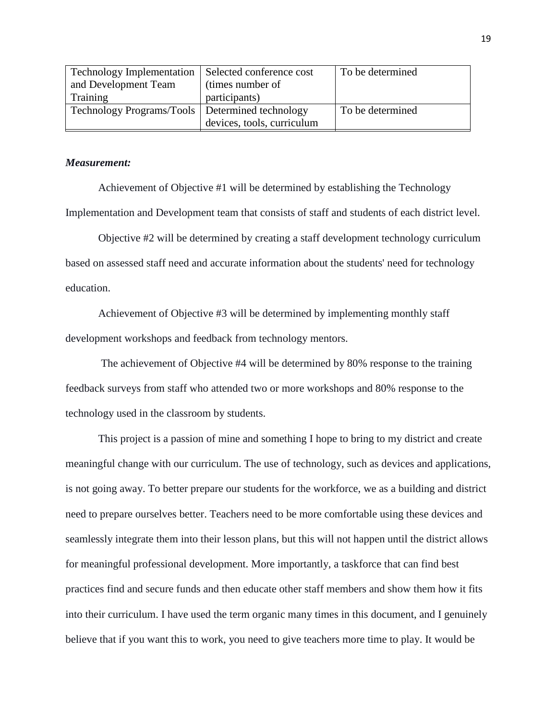| <b>Technology Implementation</b>                  | Selected conference cost   | To be determined |
|---------------------------------------------------|----------------------------|------------------|
| and Development Team                              | (times number of           |                  |
| Training                                          | participants)              |                  |
| Technology Programs/Tools   Determined technology |                            | To be determined |
|                                                   | devices, tools, curriculum |                  |

#### *Measurement:*

Achievement of Objective #1 will be determined by establishing the Technology Implementation and Development team that consists of staff and students of each district level.

Objective #2 will be determined by creating a staff development technology curriculum based on assessed staff need and accurate information about the students' need for technology education.

Achievement of Objective #3 will be determined by implementing monthly staff development workshops and feedback from technology mentors.

The achievement of Objective #4 will be determined by 80% response to the training feedback surveys from staff who attended two or more workshops and 80% response to the technology used in the classroom by students.

This project is a passion of mine and something I hope to bring to my district and create meaningful change with our curriculum. The use of technology, such as devices and applications, is not going away. To better prepare our students for the workforce, we as a building and district need to prepare ourselves better. Teachers need to be more comfortable using these devices and seamlessly integrate them into their lesson plans, but this will not happen until the district allows for meaningful professional development. More importantly, a taskforce that can find best practices find and secure funds and then educate other staff members and show them how it fits into their curriculum. I have used the term organic many times in this document, and I genuinely believe that if you want this to work, you need to give teachers more time to play. It would be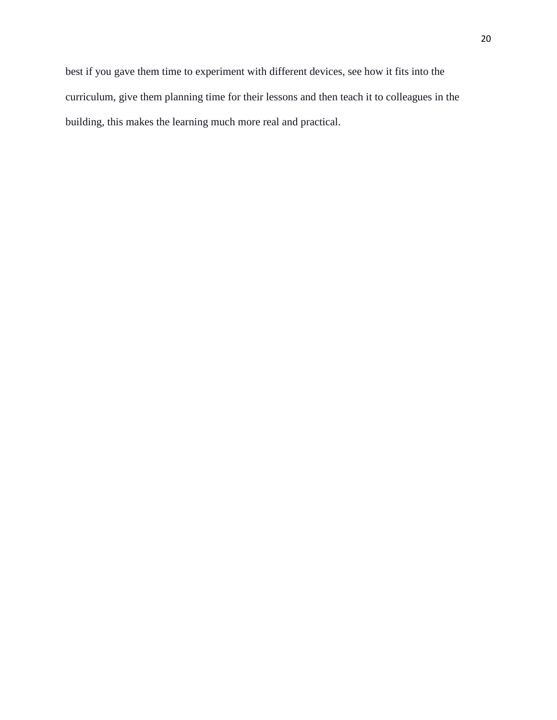best if you gave them time to experiment with different devices, see how it fits into the curriculum, give them planning time for their lessons and then teach it to colleagues in the building, this makes the learning much more real and practical.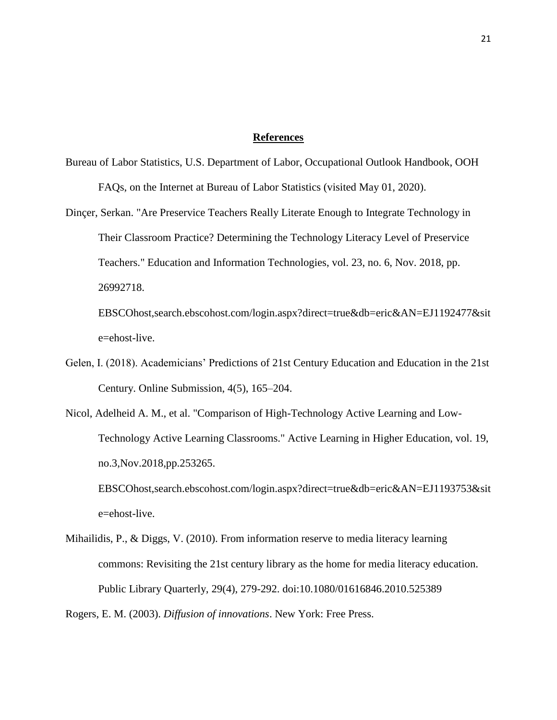#### **References**

- Bureau of Labor Statistics, U.S. Department of Labor, Occupational Outlook Handbook, OOH FAQs, on the Internet at Bureau of Labor Statistics (visited May 01, 2020).
- Dinçer, Serkan. "Are Preservice Teachers Really Literate Enough to Integrate Technology in Their Classroom Practice? Determining the Technology Literacy Level of Preservice Teachers." Education and Information Technologies, vol. 23, no. 6, Nov. 2018, pp. 26992718. EBSCOhost,search.ebscohost.com/login.aspx?direct=true&db=eric&AN=EJ1192477&sit

e=ehost-live.

- Gelen, I. (2018). Academicians' Predictions of 21st Century Education and Education in the 21st Century. Online Submission, 4(5), 165–204.
- Nicol, Adelheid A. M., et al. "Comparison of High-Technology Active Learning and Low-Technology Active Learning Classrooms." Active Learning in Higher Education, vol. 19, no.3,Nov.2018,pp.253265. EBSCOhost,search.ebscohost.com/login.aspx?direct=true&db=eric&AN=EJ1193753&sit e=ehost-live.
- Mihailidis, P., & Diggs, V. (2010). From information reserve to media literacy learning commons: Revisiting the 21st century library as the home for media literacy education. Public Library Quarterly, 29(4), 279-292. doi:10.1080/01616846.2010.525389

Rogers, E. M. (2003). *Diffusion of innovations*. New York: Free Press.